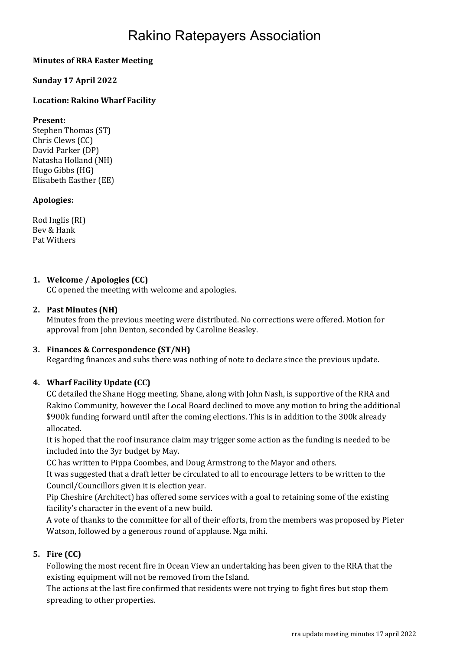# Rakino Ratepayers Association

# Minutes of RRA Easter Meeting

#### Sunday 17 April 2022

# Location: Rakino Wharf Facility

#### Present:

Stephen Thomas (ST) Chris Clews (CC) David Parker (DP) Natasha Holland (NH) Hugo Gibbs (HG) Elisabeth Easther (EE)

#### Apologies:

Rod Inglis (RI) Bev & Hank Pat Withers

# 1. Welcome / Apologies (CC)

CC opened the meeting with welcome and apologies.

#### 2. Past Minutes (NH)

Minutes from the previous meeting were distributed. No corrections were offered. Motion for approval from John Denton, seconded by Caroline Beasley.

#### 3. Finances & Correspondence (ST/NH)

Regarding finances and subs there was nothing of note to declare since the previous update.

#### 4. Wharf Facility Update (CC)

CC detailed the Shane Hogg meeting. Shane, along with John Nash, is supportive of the RRA and Rakino Community, however the Local Board declined to move any motion to bring the additional \$900k funding forward until after the coming elections. This is in addition to the 300k already allocated.

It is hoped that the roof insurance claim may trigger some action as the funding is needed to be included into the 3yr budget by May.

CC has written to Pippa Coombes, and Doug Armstrong to the Mayor and others.

It was suggested that a draft letter be circulated to all to encourage letters to be written to the Council/Councillors given it is election year.

Pip Cheshire (Architect) has offered some services with a goal to retaining some of the existing facility's character in the event of a new build.

A vote of thanks to the committee for all of their efforts, from the members was proposed by Pieter Watson, followed by a generous round of applause. Nga mihi.

# 5. Fire (CC)

Following the most recent fire in Ocean View an undertaking has been given to the RRA that the existing equipment will not be removed from the Island.

The actions at the last fire confirmed that residents were not trying to fight fires but stop them spreading to other properties.